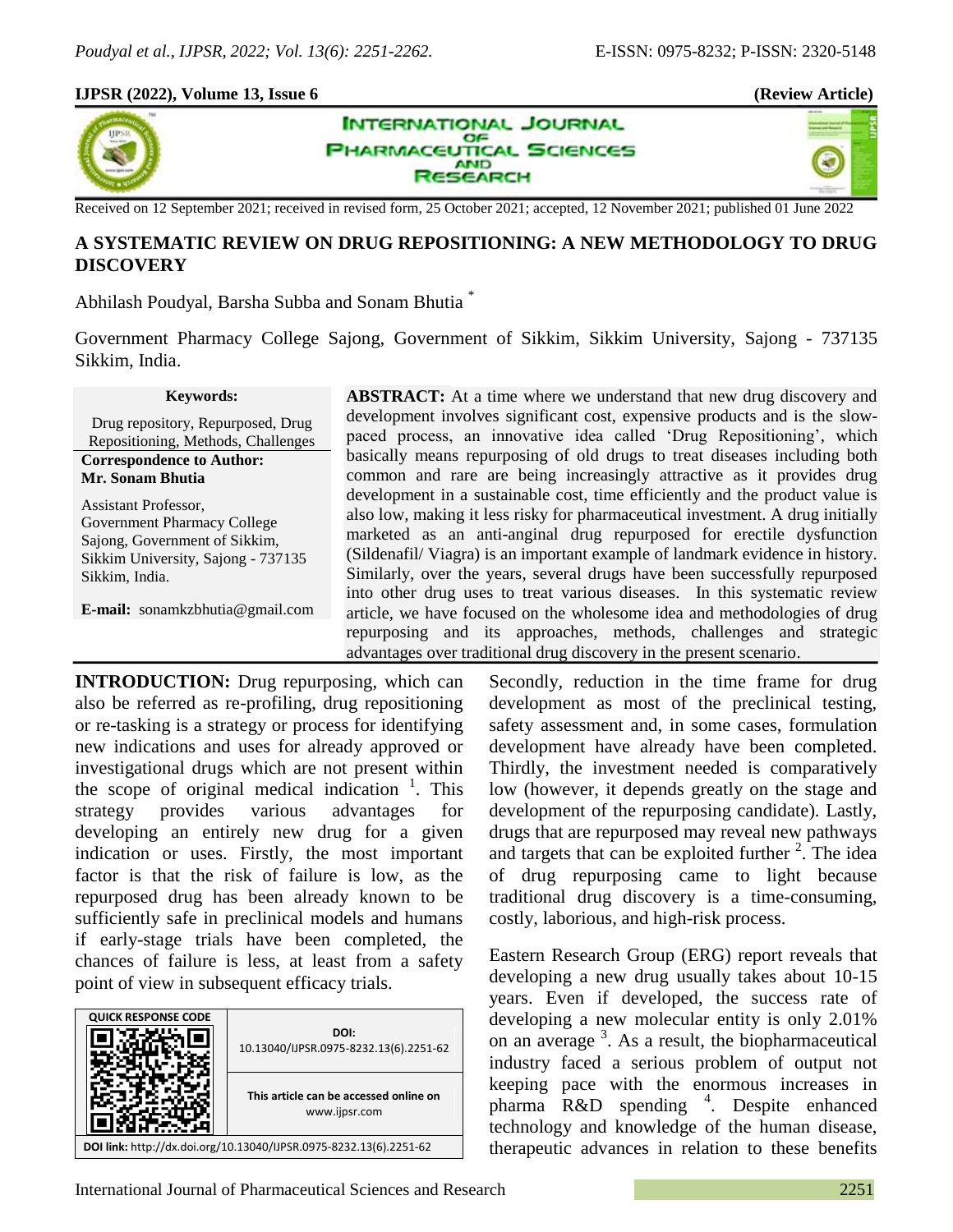×,

#### **IJPSR (2022), Volume 13, Issue 6 (Review Article)**



**INTERNATIONAL JOURNAL** OF **PHARMACEUTICAL SCIENCES AND SEARCH** 

Received on 12 September 2021; received in revised form, 25 October 2021; accepted, 12 November 2021; published 01 June 2022

# **A SYSTEMATIC REVIEW ON DRUG REPOSITIONING: A NEW METHODOLOGY TO DRUG DISCOVERY**

Abhilash Poudyal, Barsha Subba and Sonam Bhutia \*

Government Pharmacy College Sajong, Government of Sikkim, Sikkim University, Sajong - 737135 Sikkim, India.

#### **Keywords:**

Drug repository, Repurposed, Drug Repositioning, Methods, Challenges **Correspondence to Author:**

**Mr. Sonam Bhutia**

Assistant Professor, Government Pharmacy College Sajong, Government of Sikkim, Sikkim University, Sajong - 737135 Sikkim, India.

**E-mail:** sonamkzbhutia@gmail.com

**ABSTRACT:** At a time where we understand that new drug discovery and development involves significant cost, expensive products and is the slowpaced process, an innovative idea called 'Drug Repositioning', which basically means repurposing of old drugs to treat diseases including both common and rare are being increasingly attractive as it provides drug development in a sustainable cost, time efficiently and the product value is also low, making it less risky for pharmaceutical investment. A drug initially marketed as an anti-anginal drug repurposed for erectile dysfunction (Sildenafil/ Viagra) is an important example of landmark evidence in history. Similarly, over the years, several drugs have been successfully repurposed into other drug uses to treat various diseases. In this systematic review article, we have focused on the wholesome idea and methodologies of drug repurposing and its approaches, methods, challenges and strategic advantages over traditional drug discovery in the present scenario.

**INTRODUCTION:** Drug repurposing, which can also be referred as re-profiling, drug repositioning or re-tasking is a strategy or process for identifying new indications and uses for already approved or investigational drugs which are not present within the scope of original medical indication  $\frac{1}{1}$ . This strategy provides various advantages for developing an entirely new drug for a given indication or uses. Firstly, the most important factor is that the risk of failure is low, as the repurposed drug has been already known to be sufficiently safe in preclinical models and humans if early-stage trials have been completed, the chances of failure is less, at least from a safety point of view in subsequent efficacy trials.



Secondly, reduction in the time frame for drug development as most of the preclinical testing, safety assessment and, in some cases, formulation development have already have been completed. Thirdly, the investment needed is comparatively low (however, it depends greatly on the stage and development of the repurposing candidate). Lastly, drugs that are repurposed may reveal new pathways and targets that can be exploited further  $2$ . The idea of drug repurposing came to light because traditional drug discovery is a time-consuming, costly, laborious, and high-risk process.

Eastern Research Group (ERG) report reveals that developing a new drug usually takes about 10-15 years. Even if developed, the success rate of developing a new molecular entity is only 2.01% on an average  $3$ . As a result, the biopharmaceutical industry faced a serious problem of output not keeping pace with the enormous increases in pharma R&D spending <sup>4</sup> . Despite enhanced technology and knowledge of the human disease, therapeutic advances in relation to these benefits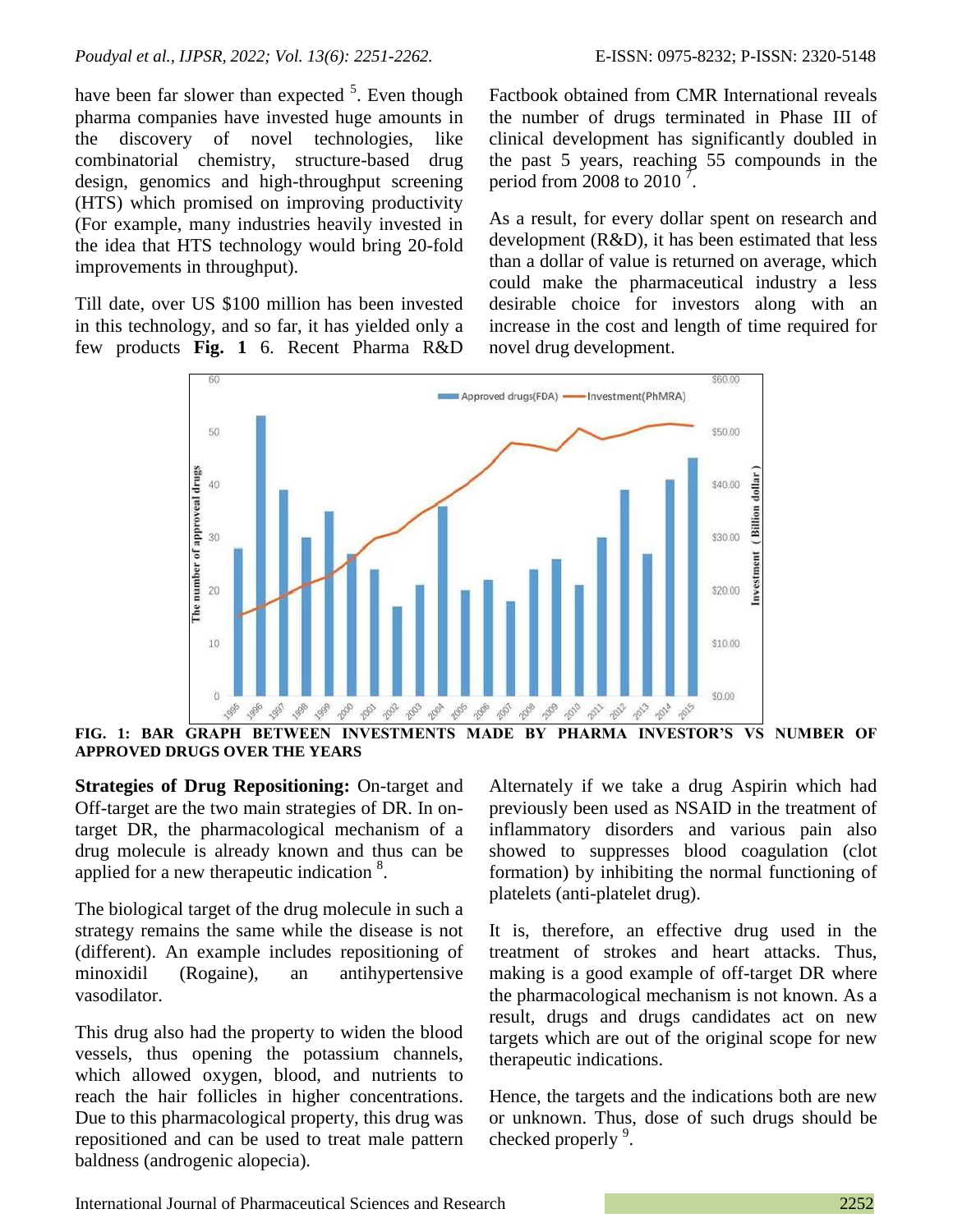have been far slower than expected <sup>5</sup>. Even though pharma companies have invested huge amounts in the discovery of novel technologies, like combinatorial chemistry, structure-based drug design, genomics and high-throughput screening (HTS) which promised on improving productivity (For example, many industries heavily invested in the idea that HTS technology would bring 20-fold improvements in throughput).

Till date, over US \$100 million has been invested in this technology, and so far, it has yielded only a few products **Fig. 1** 6. Recent Pharma R&D Factbook obtained from CMR International reveals the number of drugs terminated in Phase III of clinical development has significantly doubled in the past 5 years, reaching 55 compounds in the period from 2008 to 2010  $\sqrt{7}$ .

As a result, for every dollar spent on research and development (R&D), it has been estimated that less than a dollar of value is returned on average, which could make the pharmaceutical industry a less desirable choice for investors along with an increase in the cost and length of time required for novel drug development.



**FIG. 1: BAR GRAPH BETWEEN INVESTMENTS MADE BY PHARMA INVESTOR'S VS NUMBER OF APPROVED DRUGS OVER THE YEARS**

**Strategies of Drug Repositioning:** On-target and Off-target are the two main strategies of DR. In ontarget DR, the pharmacological mechanism of a drug molecule is already known and thus can be applied for a new therapeutic indication <sup>8</sup>.

The biological target of the drug molecule in such a strategy remains the same while the disease is not (different). An example includes repositioning of minoxidil (Rogaine), an antihypertensive vasodilator.

This drug also had the property to widen the blood vessels, thus opening the potassium channels, which allowed oxygen, blood, and nutrients to reach the hair follicles in higher concentrations. Due to this pharmacological property, this drug was repositioned and can be used to treat male pattern baldness (androgenic alopecia).

Alternately if we take a drug Aspirin which had previously been used as NSAID in the treatment of inflammatory disorders and various pain also showed to suppresses blood coagulation (clot formation) by inhibiting the normal functioning of platelets (anti-platelet drug).

It is, therefore, an effective drug used in the treatment of strokes and heart attacks. Thus, making is a good example of off-target DR where the pharmacological mechanism is not known. As a result, drugs and drugs candidates act on new targets which are out of the original scope for new therapeutic indications.

Hence, the targets and the indications both are new or unknown. Thus, dose of such drugs should be checked properly <sup>9</sup>.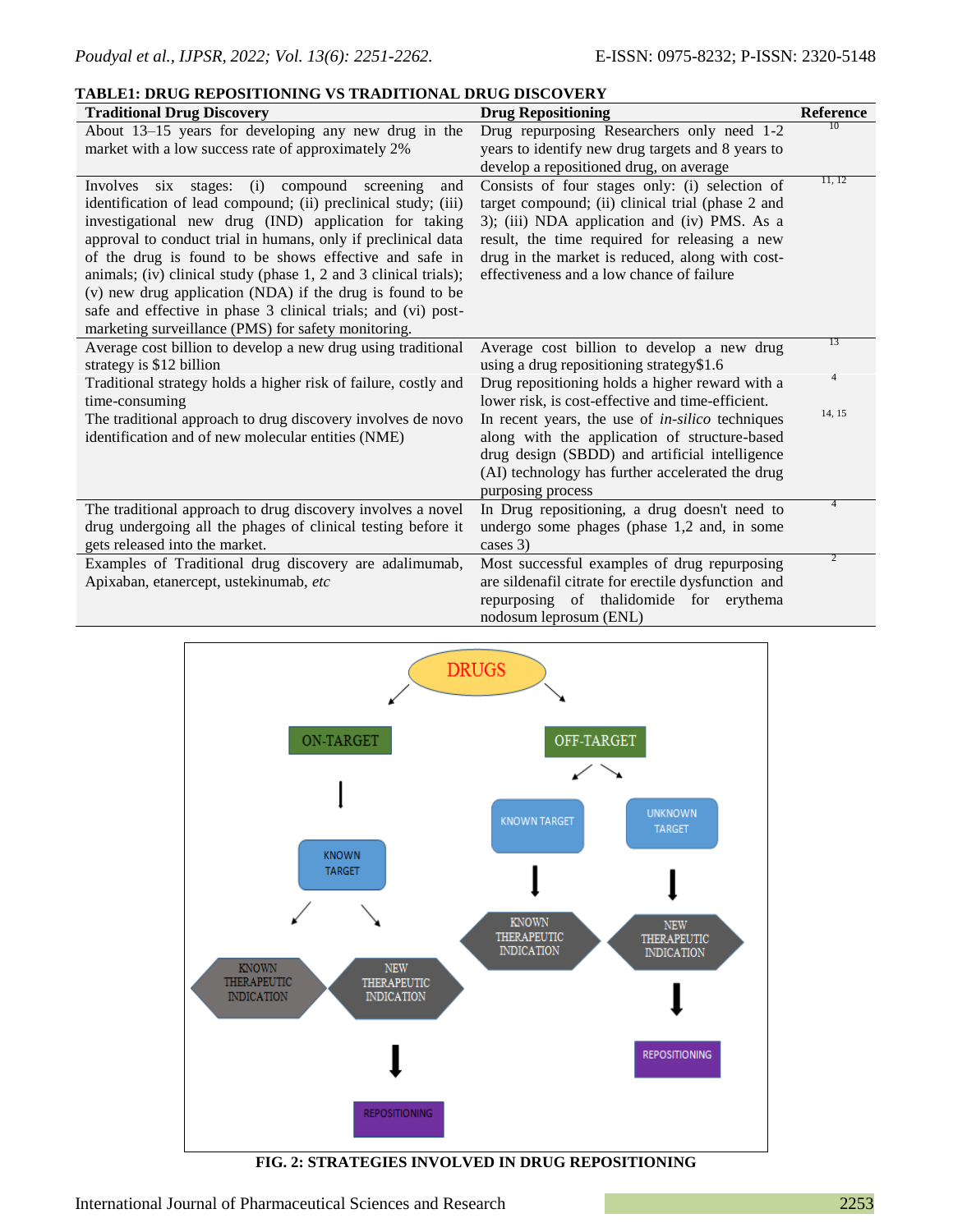|--|

| <b>Traditional Drug Discovery</b>                                | <b>Drug Repositioning</b>                               | Reference      |
|------------------------------------------------------------------|---------------------------------------------------------|----------------|
| About 13–15 years for developing any new drug in the             | Drug repurposing Researchers only need 1-2              | 10             |
| market with a low success rate of approximately 2%               | years to identify new drug targets and 8 years to       |                |
|                                                                  | develop a repositioned drug, on average                 |                |
| Involves six stages: (i)<br>compound screening<br>and            | Consists of four stages only: (i) selection of          | 11, 12         |
| identification of lead compound; (ii) preclinical study; (iii)   | target compound; (ii) clinical trial (phase 2 and       |                |
| investigational new drug (IND) application for taking            | 3); (iii) NDA application and (iv) PMS. As a            |                |
| approval to conduct trial in humans, only if preclinical data    | result, the time required for releasing a new           |                |
| of the drug is found to be shows effective and safe in           | drug in the market is reduced, along with cost-         |                |
| animals; (iv) clinical study (phase 1, 2 and 3 clinical trials); | effectiveness and a low chance of failure               |                |
| (v) new drug application (NDA) if the drug is found to be        |                                                         |                |
| safe and effective in phase 3 clinical trials; and (vi) post-    |                                                         |                |
| marketing surveillance (PMS) for safety monitoring.              |                                                         | 13             |
| Average cost billion to develop a new drug using traditional     | Average cost billion to develop a new drug              |                |
| strategy is \$12 billion                                         | using a drug repositioning strategy\$1.6                | $\overline{4}$ |
| Traditional strategy holds a higher risk of failure, costly and  | Drug repositioning holds a higher reward with a         |                |
| time-consuming                                                   | lower risk, is cost-effective and time-efficient.       | 14, 15         |
| The traditional approach to drug discovery involves de novo      | In recent years, the use of <i>in-silico</i> techniques |                |
| identification and of new molecular entities (NME)               | along with the application of structure-based           |                |
|                                                                  | drug design (SBDD) and artificial intelligence          |                |
|                                                                  | (AI) technology has further accelerated the drug        |                |
|                                                                  | purposing process                                       |                |
| The traditional approach to drug discovery involves a novel      | In Drug repositioning, a drug doesn't need to           |                |
| drug undergoing all the phages of clinical testing before it     | undergo some phages (phase 1,2 and, in some             |                |
| gets released into the market.                                   | cases 3)                                                | 2              |
| Examples of Traditional drug discovery are adalimumab,           | Most successful examples of drug repurposing            |                |
| Apixaban, etanercept, ustekinumab, etc                           | are sildenafil citrate for erectile dysfunction and     |                |
|                                                                  | repurposing of thalidomide for erythema                 |                |
|                                                                  | nodosum leprosum (ENL)                                  |                |



**FIG. 2: STRATEGIES INVOLVED IN DRUG REPOSITIONING**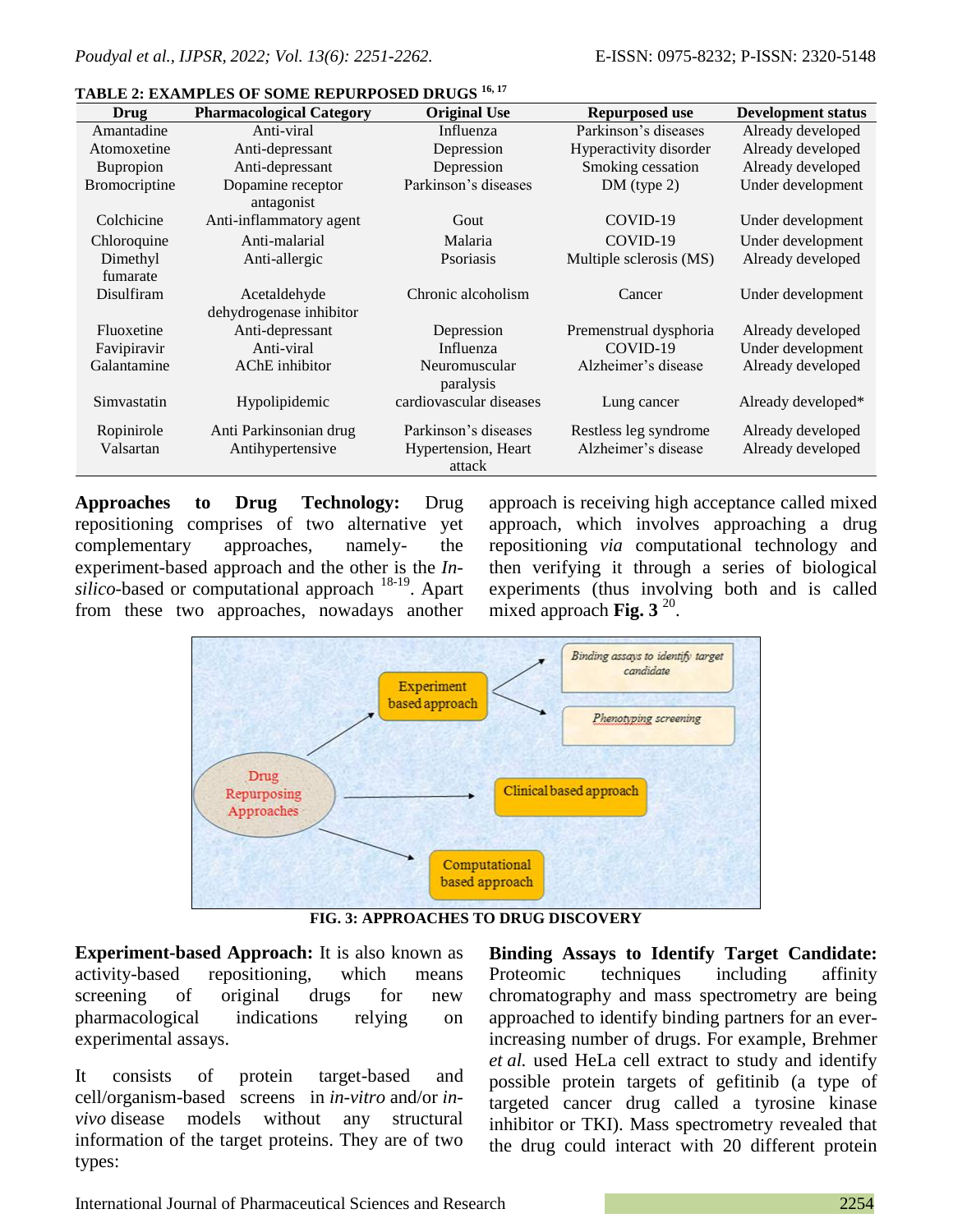| Drug                    | <b>Pharmacological Category</b>            | <b>Original Use</b>                                   | Repurposed use                               | <b>Development status</b>              |
|-------------------------|--------------------------------------------|-------------------------------------------------------|----------------------------------------------|----------------------------------------|
| Amantadine              | Anti-viral                                 | Influenza                                             | Parkinson's diseases                         | Already developed                      |
| Atomoxetine             | Anti-depressant                            | Depression                                            | Hyperactivity disorder                       | Already developed                      |
| <b>Bupropion</b>        | Anti-depressant                            | Depression                                            | Smoking cessation                            | Already developed                      |
| <b>Bromocriptine</b>    | Dopamine receptor                          | Parkinson's diseases                                  | $DM$ (type 2)                                | Under development                      |
|                         | antagonist                                 |                                                       |                                              |                                        |
| Colchicine              | Anti-inflammatory agent                    | Gout                                                  | COVID-19                                     | Under development                      |
| Chloroquine             | Anti-malarial                              | Malaria                                               | COVID-19                                     | Under development                      |
| Dimethyl                | Anti-allergic                              | Psoriasis                                             | Multiple sclerosis (MS)                      | Already developed                      |
| fumarate                |                                            |                                                       |                                              |                                        |
| Disulfiram              | Acetaldehyde                               | Chronic alcoholism                                    | Cancer                                       | Under development                      |
|                         | dehydrogenase inhibitor                    |                                                       |                                              |                                        |
| Fluoxetine              | Anti-depressant                            | Depression                                            | Premenstrual dysphoria                       | Already developed                      |
| Favipiravir             | Anti-viral                                 | Influenza                                             | COVID-19                                     | Under development                      |
| Galantamine             | AChE inhibitor                             | Neuromuscular                                         | Alzheimer's disease                          | Already developed                      |
|                         |                                            | paralysis                                             |                                              |                                        |
| Simvastatin             | Hypolipidemic                              | cardiovascular diseases                               | Lung cancer                                  | Already developed*                     |
|                         |                                            |                                                       |                                              |                                        |
|                         |                                            |                                                       |                                              |                                        |
|                         |                                            |                                                       |                                              |                                        |
| Ropinirole<br>Valsartan | Anti Parkinsonian drug<br>Antihypertensive | Parkinson's diseases<br>Hypertension, Heart<br>attack | Restless leg syndrome<br>Alzheimer's disease | Already developed<br>Already developed |

### **TABLE 2: EXAMPLES OF SOME REPURPOSED DRUGS 16, 17**

**Approaches to Drug Technology:** Drug repositioning comprises of two alternative yet complementary approaches, namely- the experiment-based approach and the other is the *Insilico*-based or computational approach <sup>18-19</sup>. Apart from these two approaches, nowadays another

approach is receiving high acceptance called mixed approach, which involves approaching a drug repositioning *via* computational technology and then verifying it through a series of biological experiments (thus involving both and is called mixed approach **Fig. 3**<sup>20</sup>.



**FIG. 3: APPROACHES TO DRUG DISCOVERY**

**Experiment-based Approach:** It is also known as activity-based repositioning, which means screening of original drugs for new pharmacological indications relying on experimental assays.

It consists of protein target-based and cell/organism-based screens in *in-vitro* and/or *invivo* disease models without any structural information of the target proteins. They are of two types:

**Binding Assays to Identify Target Candidate:**  Proteomic techniques including affinity chromatography and mass spectrometry are being approached to identify binding partners for an everincreasing number of drugs. For example, Brehmer *et al.* used HeLa cell extract to study and identify possible protein targets of gefitinib (a type of targeted cancer drug called a tyrosine kinase inhibitor or TKI). Mass spectrometry revealed that the drug could interact with 20 different protein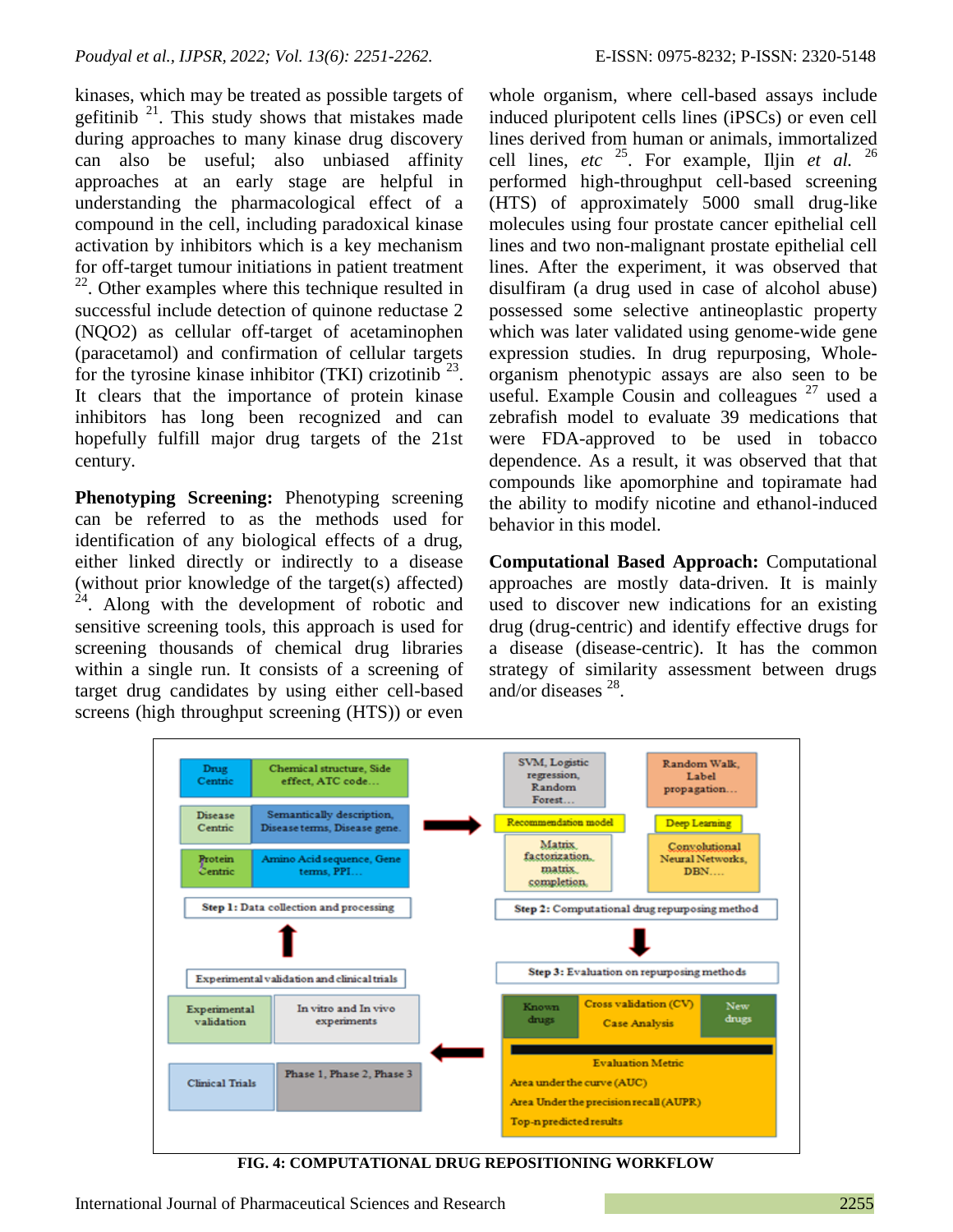kinases, which may be treated as possible targets of gefitinib  $21$ . This study shows that mistakes made during approaches to many kinase drug discovery can also be useful; also unbiased affinity approaches at an early stage are helpful in understanding the pharmacological effect of a compound in the cell, including paradoxical kinase activation by inhibitors which is a key mechanism for off-target tumour initiations in patient treatment 22 . Other examples where this technique resulted in successful include detection of quinone reductase 2 (NQO2) as cellular off-target of acetaminophen (paracetamol) and confirmation of cellular targets for the tyrosine kinase inhibitor (TKI) crizotinib  $^{23}$ . It clears that the importance of protein kinase inhibitors has long been recognized and can hopefully fulfill major drug targets of the 21st century.

**Phenotyping Screening:** Phenotyping screening can be referred to as the methods used for identification of any biological effects of a drug, either linked directly or indirectly to a disease (without prior knowledge of the target(s) affected) <sup>4</sup>. Along with the development of robotic and sensitive screening tools, this approach is used for screening thousands of chemical drug libraries within a single run. It consists of a screening of target drug candidates by using either cell-based screens (high throughput screening (HTS)) or even

whole organism, where cell-based assays include induced pluripotent cells lines (iPSCs) or even cell lines derived from human or animals, immortalized cell lines, *etc* <sup>25</sup>. For example, Iljin *et al.* <sup>26</sup> performed high-throughput cell-based screening (HTS) of approximately 5000 small drug-like molecules using four prostate cancer epithelial cell lines and two non-malignant prostate epithelial cell lines. After the experiment, it was observed that disulfiram (a drug used in case of alcohol abuse) possessed some selective antineoplastic property which was later validated using genome-wide gene expression studies. In drug repurposing, Wholeorganism phenotypic assays are also seen to be useful. Example Cousin and colleagues <sup>27</sup> used a zebrafish model to evaluate 39 medications that were FDA-approved to be used in tobacco dependence. As a result, it was observed that that compounds like apomorphine and topiramate had the ability to modify nicotine and ethanol-induced behavior in this model.

**Computational Based Approach:** Computational approaches are mostly data-driven. It is mainly used to discover new indications for an existing drug (drug-centric) and identify effective drugs for a disease (disease-centric). It has the common strategy of similarity assessment between drugs and/or diseases <sup>28</sup>.



**FIG. 4: COMPUTATIONAL DRUG REPOSITIONING WORKFLOW**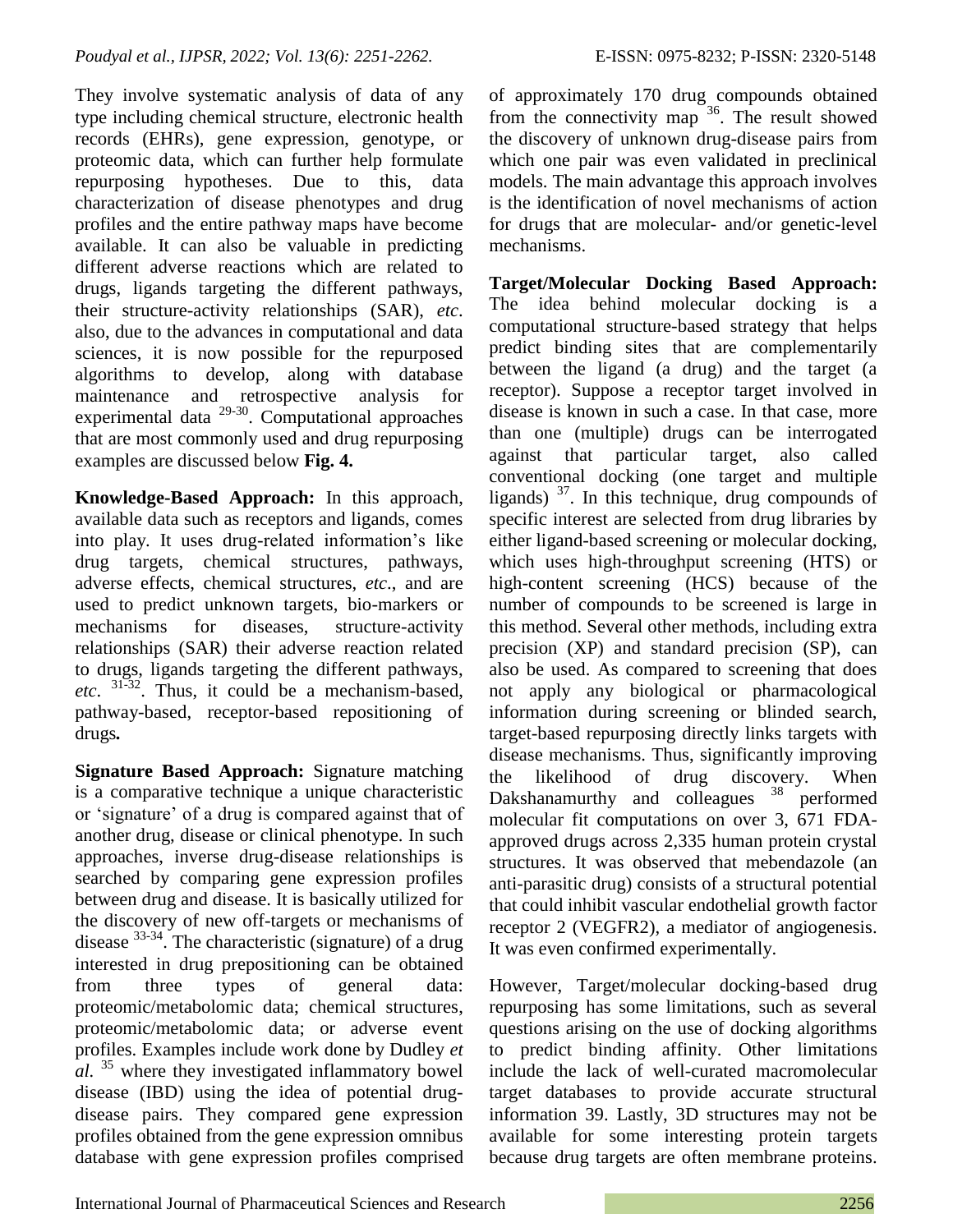They involve systematic analysis of data of any type including chemical structure, electronic health records (EHRs), gene expression, genotype, or proteomic data, which can further help formulate repurposing hypotheses. Due to this, data characterization of disease phenotypes and drug profiles and the entire pathway maps have become available. It can also be valuable in predicting different adverse reactions which are related to drugs, ligands targeting the different pathways, their structure-activity relationships (SAR), *etc*. also, due to the advances in computational and data sciences, it is now possible for the repurposed algorithms to develop, along with database maintenance and retrospective analysis for experimental data <sup>29-30</sup>. Computational approaches that are most commonly used and drug repurposing examples are discussed below **Fig. 4.**

**Knowledge-Based Approach:** In this approach, available data such as receptors and ligands, comes into play. It uses drug-related information's like drug targets, chemical structures, pathways, adverse effects, chemical structures, *etc*., and are used to predict unknown targets, bio-markers or mechanisms for diseases, structure-activity relationships (SAR) their adverse reaction related to drugs, ligands targeting the different pathways, *etc*. 31-32. Thus, it could be a mechanism-based, pathway-based, receptor-based repositioning of drugs*.*

**Signature Based Approach:** Signature matching is a comparative technique a unique characteristic or 'signature' of a drug is compared against that of another drug, disease or clinical phenotype. In such approaches, inverse drug-disease relationships is searched by comparing gene expression profiles between drug and disease. It is basically utilized for the discovery of new off-targets or mechanisms of disease  $33-34$ . The characteristic (signature) of a drug interested in drug prepositioning can be obtained from three types of general data: proteomic/metabolomic data; chemical structures, proteomic/metabolomic data; or adverse event profiles. Examples include work done by Dudley *et al.* <sup>35</sup> where they investigated inflammatory bowel disease (IBD) using the idea of potential drugdisease pairs. They compared gene expression profiles obtained from the gene expression omnibus database with gene expression profiles comprised

of approximately 170 drug compounds obtained from the connectivity map <sup>36</sup>. The result showed the discovery of unknown drug-disease pairs from which one pair was even validated in preclinical models. The main advantage this approach involves is the identification of novel mechanisms of action for drugs that are molecular- and/or genetic-level mechanisms.

**Target/Molecular Docking Based Approach:** The idea behind molecular docking is a computational structure-based strategy that helps predict binding sites that are complementarily between the ligand (a drug) and the target (a receptor). Suppose a receptor target involved in disease is known in such a case. In that case, more than one (multiple) drugs can be interrogated against that particular target, also called conventional docking (one target and multiple ligands)  $37$ . In this technique, drug compounds of specific interest are selected from drug libraries by either ligand-based screening or molecular docking, which uses high-throughput screening (HTS) or high-content screening (HCS) because of the number of compounds to be screened is large in this method. Several other methods, including extra precision (XP) and standard precision (SP), can also be used. As compared to screening that does not apply any biological or pharmacological information during screening or blinded search, target-based repurposing directly links targets with disease mechanisms. Thus, significantly improving the likelihood of drug discovery. When Dakshanamurthy and colleagues <sup>38</sup> performed molecular fit computations on over 3, 671 FDAapproved drugs across 2,335 human protein crystal structures. It was observed that mebendazole (an anti-parasitic drug) consists of a structural potential that could inhibit vascular endothelial growth factor receptor 2 (VEGFR2), a mediator of angiogenesis. It was even confirmed experimentally.

However, Target/molecular docking-based drug repurposing has some limitations, such as several questions arising on the use of docking algorithms to predict binding affinity. Other limitations include the lack of well-curated macromolecular target databases to provide accurate structural information 39. Lastly, 3D structures may not be available for some interesting protein targets because drug targets are often membrane proteins.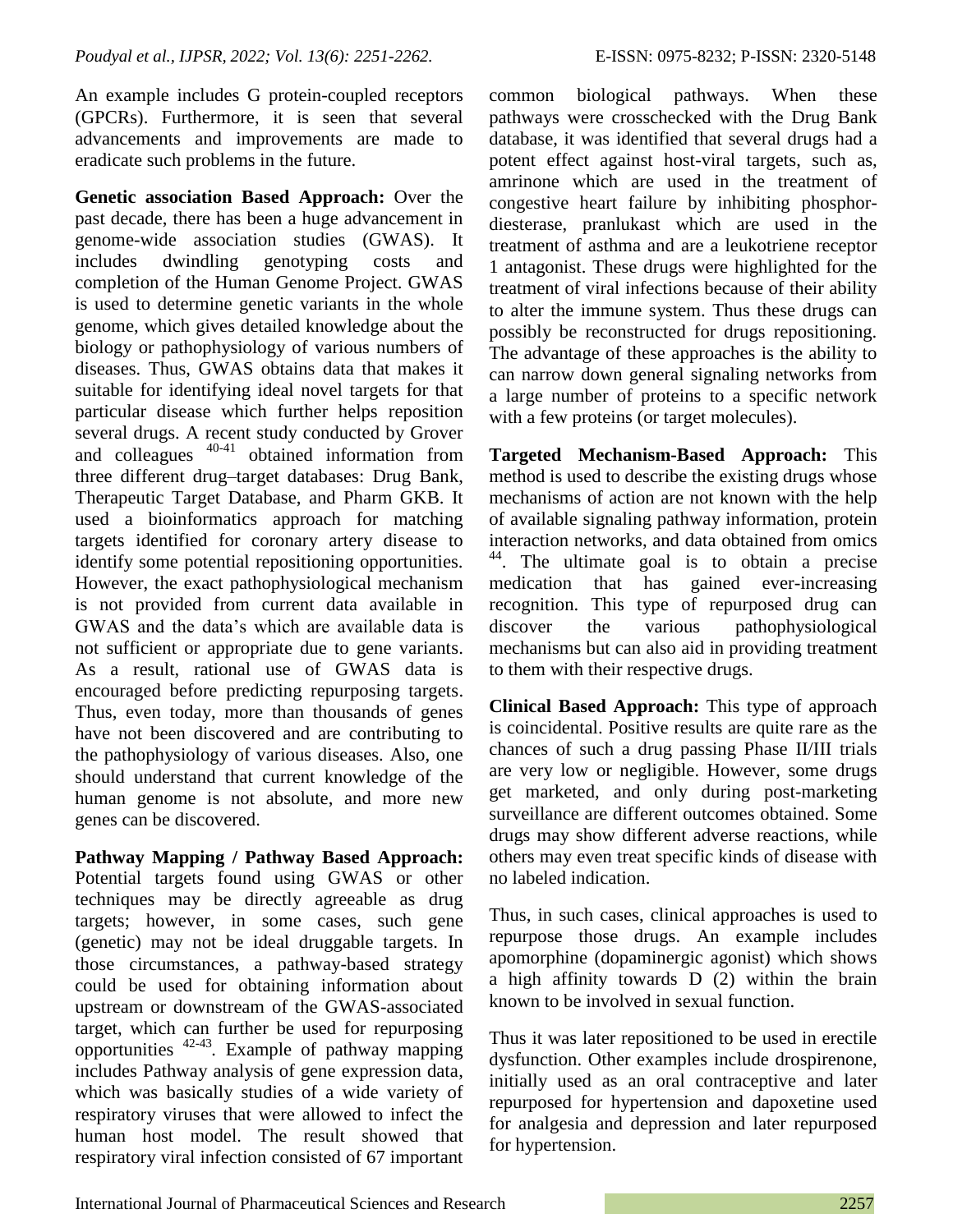An example includes G protein-coupled receptors (GPCRs). Furthermore, it is seen that several advancements and improvements are made to eradicate such problems in the future.

**Genetic association Based Approach:** Over the past decade, there has been a huge advancement in genome-wide association studies (GWAS). It includes dwindling genotyping costs and completion of the Human Genome Project. GWAS is used to determine genetic variants in the whole genome, which gives detailed knowledge about the biology or pathophysiology of various numbers of diseases. Thus, GWAS obtains data that makes it suitable for identifying ideal novel targets for that particular disease which further helps reposition several drugs. A recent study conducted by Grover and colleagues  $40-41$  obtained information from three different drug–target databases: Drug Bank, Therapeutic Target Database, and Pharm GKB. It used a bioinformatics approach for matching targets identified for coronary artery disease to identify some potential repositioning opportunities. However, the exact pathophysiological mechanism is not provided from current data available in GWAS and the data's which are available data is not sufficient or appropriate due to gene variants. As a result, rational use of GWAS data is encouraged before predicting repurposing targets. Thus, even today, more than thousands of genes have not been discovered and are contributing to the pathophysiology of various diseases. Also, one should understand that current knowledge of the human genome is not absolute, and more new genes can be discovered.

**Pathway Mapping / Pathway Based Approach:** Potential targets found using GWAS or other techniques may be directly agreeable as drug targets; however, in some cases, such gene (genetic) may not be ideal druggable targets. In those circumstances, a pathway-based strategy could be used for obtaining information about upstream or downstream of the GWAS-associated target, which can further be used for repurposing opportunities 42-43 *.* Example of pathway mapping includes Pathway analysis of gene expression data, which was basically studies of a wide variety of respiratory viruses that were allowed to infect the human host model. The result showed that respiratory viral infection consisted of 67 important

common biological pathways. When these pathways were crosschecked with the Drug Bank database, it was identified that several drugs had a potent effect against host-viral targets, such as, amrinone which are used in the treatment of congestive heart failure by inhibiting phosphordiesterase, pranlukast which are used in the treatment of asthma and are a leukotriene receptor 1 antagonist. These drugs were highlighted for the treatment of viral infections because of their ability to alter the immune system. Thus these drugs can possibly be reconstructed for drugs repositioning. The advantage of these approaches is the ability to can narrow down general signaling networks from a large number of proteins to a specific network with a few proteins (or target molecules).

**Targeted Mechanism-Based Approach:** This method is used to describe the existing drugs whose mechanisms of action are not known with the help of available signaling pathway information, protein interaction networks, and data obtained from omics <sup>44</sup>. The ultimate goal is to obtain a precise medication that has gained ever-increasing recognition. This type of repurposed drug can discover the various pathophysiological mechanisms but can also aid in providing treatment to them with their respective drugs.

**Clinical Based Approach:** This type of approach is coincidental. Positive results are quite rare as the chances of such a drug passing Phase II/III trials are very low or negligible. However, some drugs get marketed, and only during post-marketing surveillance are different outcomes obtained. Some drugs may show different adverse reactions, while others may even treat specific kinds of disease with no labeled indication.

Thus, in such cases, clinical approaches is used to repurpose those drugs. An example includes apomorphine (dopaminergic agonist) which shows a high affinity towards D (2) within the brain known to be involved in sexual function.

Thus it was later repositioned to be used in erectile dysfunction. Other examples include drospirenone, initially used as an oral contraceptive and later repurposed for hypertension and dapoxetine used for analgesia and depression and later repurposed for hypertension.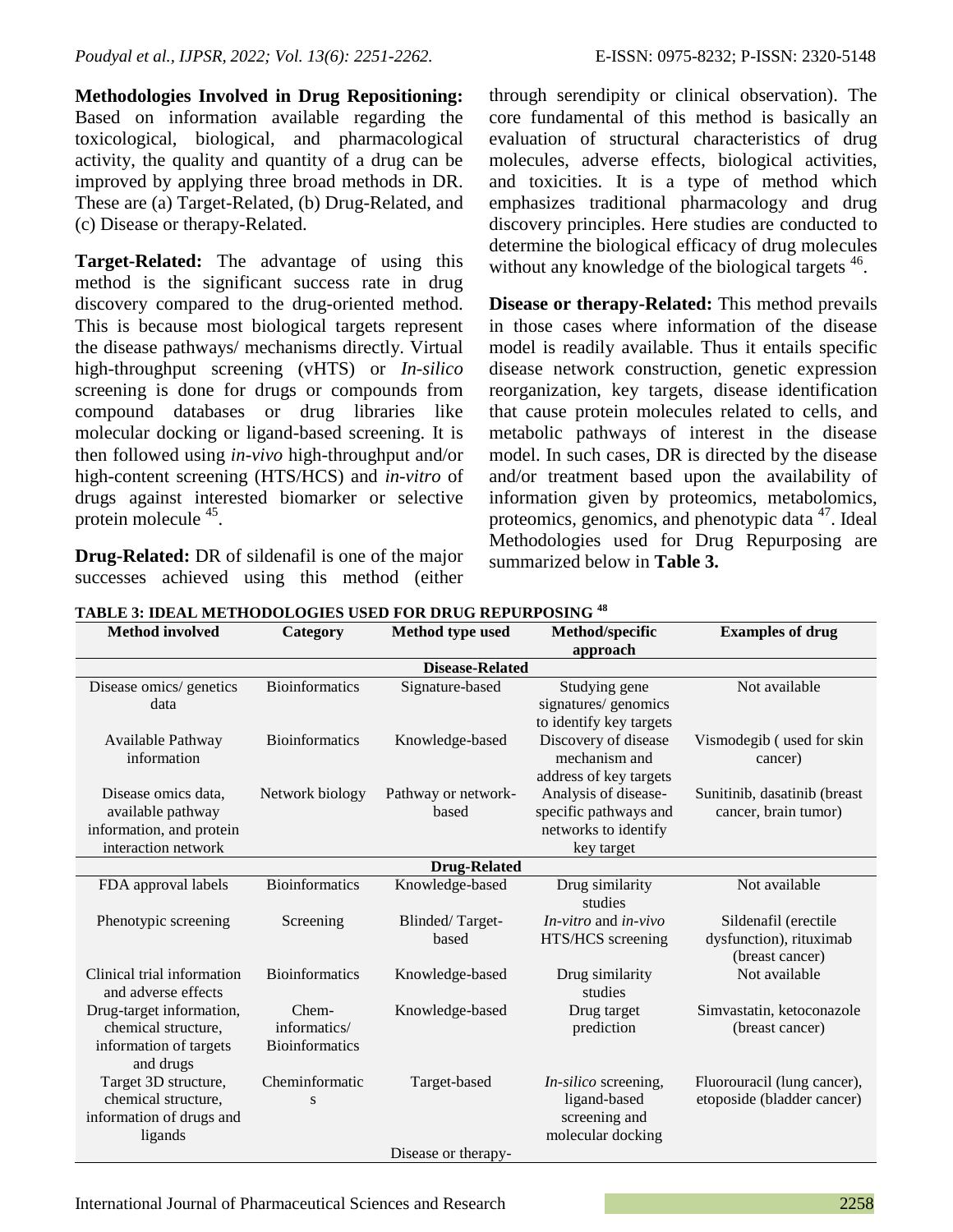**Methodologies Involved in Drug Repositioning:**  Based on information available regarding the toxicological, biological, and pharmacological activity, the quality and quantity of a drug can be improved by applying three broad methods in DR. These are (a) Target-Related, (b) Drug-Related, and (c) Disease or therapy-Related.

**Target-Related:** The advantage of using this method is the significant success rate in drug discovery compared to the drug-oriented method. This is because most biological targets represent the disease pathways/ mechanisms directly. Virtual high-throughput screening (vHTS) or *In-silico* screening is done for drugs or compounds from compound databases or drug libraries like molecular docking or ligand-based screening. It is then followed using *in-vivo* high-throughput and/or high-content screening (HTS/HCS) and *in-vitro* of drugs against interested biomarker or selective protein molecule <sup>45</sup>.

**Drug-Related:** DR of sildenafil is one of the major successes achieved using this method (either through serendipity or clinical observation). The core fundamental of this method is basically an evaluation of structural characteristics of drug molecules, adverse effects, biological activities, and toxicities. It is a type of method which emphasizes traditional pharmacology and drug discovery principles. Here studies are conducted to determine the biological efficacy of drug molecules without any knowledge of the biological targets <sup>46</sup>.

**Disease or therapy-Related:** This method prevails in those cases where information of the disease model is readily available. Thus it entails specific disease network construction, genetic expression reorganization, key targets, disease identification that cause protein molecules related to cells, and metabolic pathways of interest in the disease model. In such cases, DR is directed by the disease and/or treatment based upon the availability of information given by proteomics, metabolomics, proteomics, genomics, and phenotypic data <sup>47</sup>. Ideal Methodologies used for Drug Repurposing are summarized below in **Table 3.**

| <b>Method involved</b>                            | Category              | <b>Method type used</b> | Method/specific            | <b>Examples of drug</b>                    |  |  |
|---------------------------------------------------|-----------------------|-------------------------|----------------------------|--------------------------------------------|--|--|
|                                                   |                       |                         | approach                   |                                            |  |  |
|                                                   |                       | <b>Disease-Related</b>  |                            |                                            |  |  |
| Disease omics/ genetics                           | <b>Bioinformatics</b> | Signature-based         | Studying gene              | Not available                              |  |  |
| data                                              |                       |                         | signatures/ genomics       |                                            |  |  |
|                                                   |                       |                         | to identify key targets    |                                            |  |  |
| Available Pathway                                 | <b>Bioinformatics</b> | Knowledge-based         | Discovery of disease       | Vismodegib (used for skin                  |  |  |
| information                                       |                       |                         | mechanism and              | cancer)                                    |  |  |
|                                                   |                       |                         | address of key targets     |                                            |  |  |
| Disease omics data,                               | Network biology       | Pathway or network-     | Analysis of disease-       | Sunitinib, dasatinib (breast               |  |  |
| available pathway                                 |                       | based                   | specific pathways and      | cancer, brain tumor)                       |  |  |
| information, and protein                          |                       |                         | networks to identify       |                                            |  |  |
| interaction network                               |                       |                         | key target                 |                                            |  |  |
| <b>Drug-Related</b>                               |                       |                         |                            |                                            |  |  |
| FDA approval labels                               | <b>Bioinformatics</b> | Knowledge-based         | Drug similarity<br>studies | Not available                              |  |  |
| Phenotypic screening                              | Screening             | Blinded/Target-         | $In-vitro$ and $in-vivo$   | Sildenafil (erectile                       |  |  |
|                                                   |                       | based                   | HTS/HCS screening          | dysfunction), rituximab<br>(breast cancer) |  |  |
| Clinical trial information<br>and adverse effects | <b>Bioinformatics</b> | Knowledge-based         | Drug similarity<br>studies | Not available                              |  |  |
| Drug-target information,                          | Chem-                 | Knowledge-based         | Drug target                | Simvastatin, ketoconazole                  |  |  |
| chemical structure,                               | informatics/          |                         | prediction                 | (breast cancer)                            |  |  |
| information of targets                            | <b>Bioinformatics</b> |                         |                            |                                            |  |  |
| and drugs                                         |                       |                         |                            |                                            |  |  |
| Target 3D structure,                              | Cheminformatic        | Target-based            | In-silico screening,       | Fluorouracil (lung cancer),                |  |  |
| chemical structure,                               | S                     |                         | ligand-based               | etoposide (bladder cancer)                 |  |  |
| information of drugs and                          |                       |                         | screening and              |                                            |  |  |
| ligands                                           |                       |                         | molecular docking          |                                            |  |  |
|                                                   |                       | Disease or therapy-     |                            |                                            |  |  |

**TABLE 3: IDEAL METHODOLOGIES USED FOR DRUG REPURPOSING <sup>48</sup>**

International Journal of Pharmaceutical Sciences and Research 2258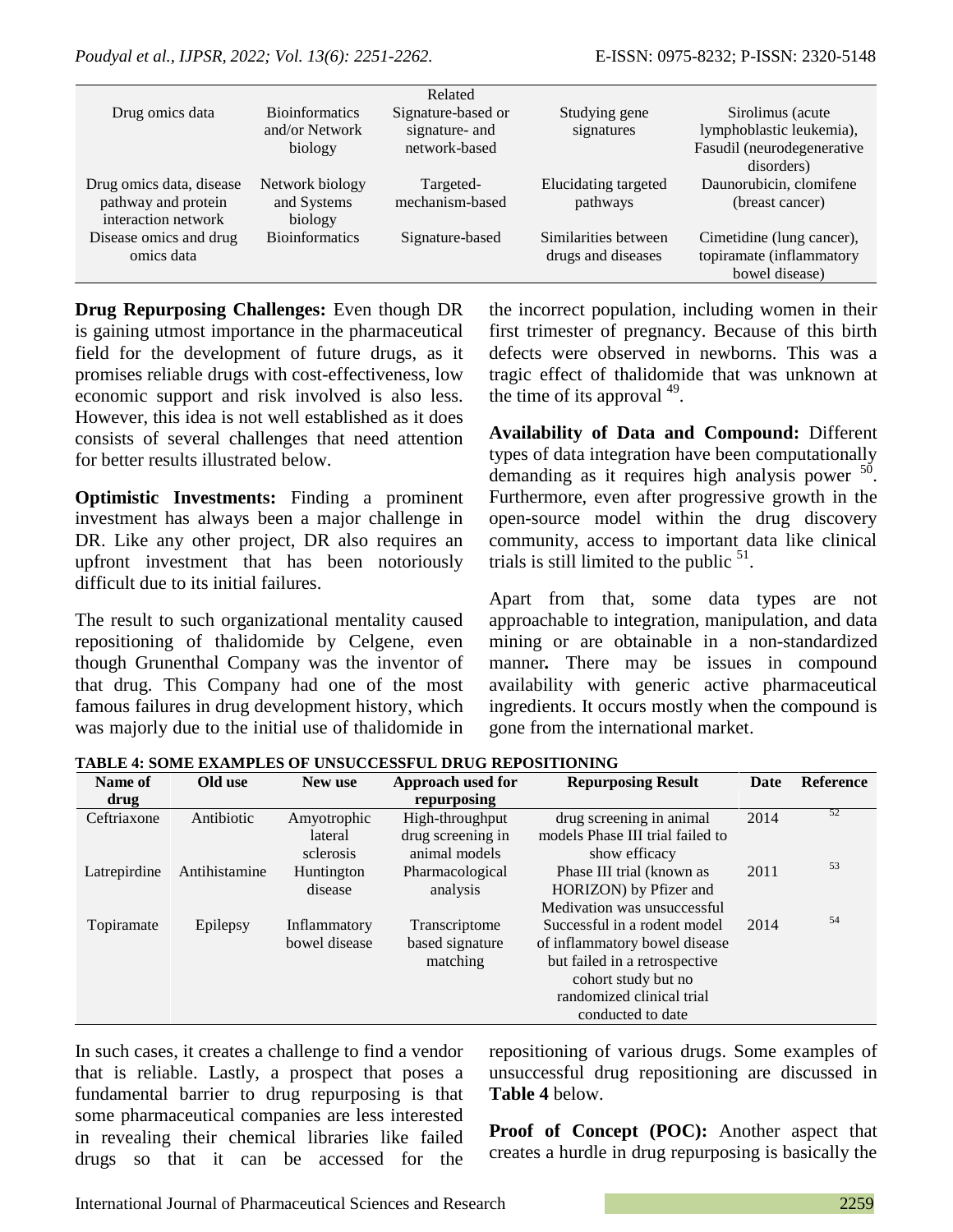|                                            |                        | Related            |                      |                            |
|--------------------------------------------|------------------------|--------------------|----------------------|----------------------------|
| Drug omics data                            | <b>Bioinformatics</b>  | Signature-based or | Studying gene        | Sirolimus (acute)          |
|                                            | and/or Network         | signature- and     | signatures           | lymphoblastic leukemia),   |
|                                            | biology                | network-based      |                      | Fasudil (neurodegenerative |
|                                            |                        |                    |                      | disorders)                 |
| Drug omics data, disease                   | Network biology        | Targeted-          | Elucidating targeted | Daunorubicin, clomifene    |
| pathway and protein<br>interaction network | and Systems<br>biology | mechanism-based    | pathways             | (breast cancer)            |
| Disease omics and drug                     | <b>Bioinformatics</b>  | Signature-based    | Similarities between | Cimetidine (lung cancer),  |
| omics data                                 |                        |                    | drugs and diseases   | topiramate (inflammatory   |
|                                            |                        |                    |                      | bowel disease)             |

**Drug Repurposing Challenges:** Even though DR is gaining utmost importance in the pharmaceutical field for the development of future drugs, as it promises reliable drugs with cost-effectiveness, low economic support and risk involved is also less. However, this idea is not well established as it does consists of several challenges that need attention for better results illustrated below.

**Optimistic Investments:** Finding a prominent investment has always been a major challenge in DR. Like any other project, DR also requires an upfront investment that has been notoriously difficult due to its initial failures.

The result to such organizational mentality caused repositioning of thalidomide by Celgene, even though Grunenthal Company was the inventor of that drug. This Company had one of the most famous failures in drug development history, which was majorly due to the initial use of thalidomide in the incorrect population, including women in their first trimester of pregnancy. Because of this birth defects were observed in newborns. This was a tragic effect of thalidomide that was unknown at the time of its approval  $49$ .

**Availability of Data and Compound:** Different types of data integration have been computationally demanding as it requires high analysis power <sup>50</sup>. Furthermore, even after progressive growth in the open-source model within the drug discovery community, access to important data like clinical trials is still limited to the public  $51$ .

Apart from that, some data types are not approachable to integration, manipulation, and data mining or are obtainable in a non-standardized manner*.* There may be issues in compound availability with generic active pharmaceutical ingredients. It occurs mostly when the compound is gone from the international market.

| Name of      | Old use       | New use       | Approach used for | <b>Repurposing Result</b>        | Date | <b>Reference</b> |
|--------------|---------------|---------------|-------------------|----------------------------------|------|------------------|
| drug         |               |               | repurposing       |                                  |      |                  |
| Ceftriaxone  | Antibiotic    | Amyotrophic   | High-throughput   | drug screening in animal         | 2014 | 52               |
|              |               | lateral       | drug screening in | models Phase III trial failed to |      |                  |
|              |               | sclerosis     | animal models     | show efficacy                    |      |                  |
| Latrepirdine | Antihistamine | Huntington    | Pharmacological   | Phase III trial (known as        | 2011 | 53               |
|              |               | disease       | analysis          | HORIZON) by Pfizer and           |      |                  |
|              |               |               |                   | Medivation was unsuccessful      |      |                  |
| Topiramate   | Epilepsy      | Inflammatory  | Transcriptome     | Successful in a rodent model     | 2014 | 54               |
|              |               | bowel disease | based signature   | of inflammatory bowel disease    |      |                  |
|              |               |               | matching          | but failed in a retrospective    |      |                  |
|              |               |               |                   | cohort study but no              |      |                  |
|              |               |               |                   | randomized clinical trial        |      |                  |
|              |               |               |                   | conducted to date                |      |                  |

**TABLE 4: SOME EXAMPLES OF UNSUCCESSFUL DRUG REPOSITIONING**

In such cases, it creates a challenge to find a vendor that is reliable. Lastly, a prospect that poses a fundamental barrier to drug repurposing is that some pharmaceutical companies are less interested in revealing their chemical libraries like failed drugs so that it can be accessed for the repositioning of various drugs. Some examples of unsuccessful drug repositioning are discussed in **Table 4** below.

**Proof of Concept (POC):** Another aspect that creates a hurdle in drug repurposing is basically the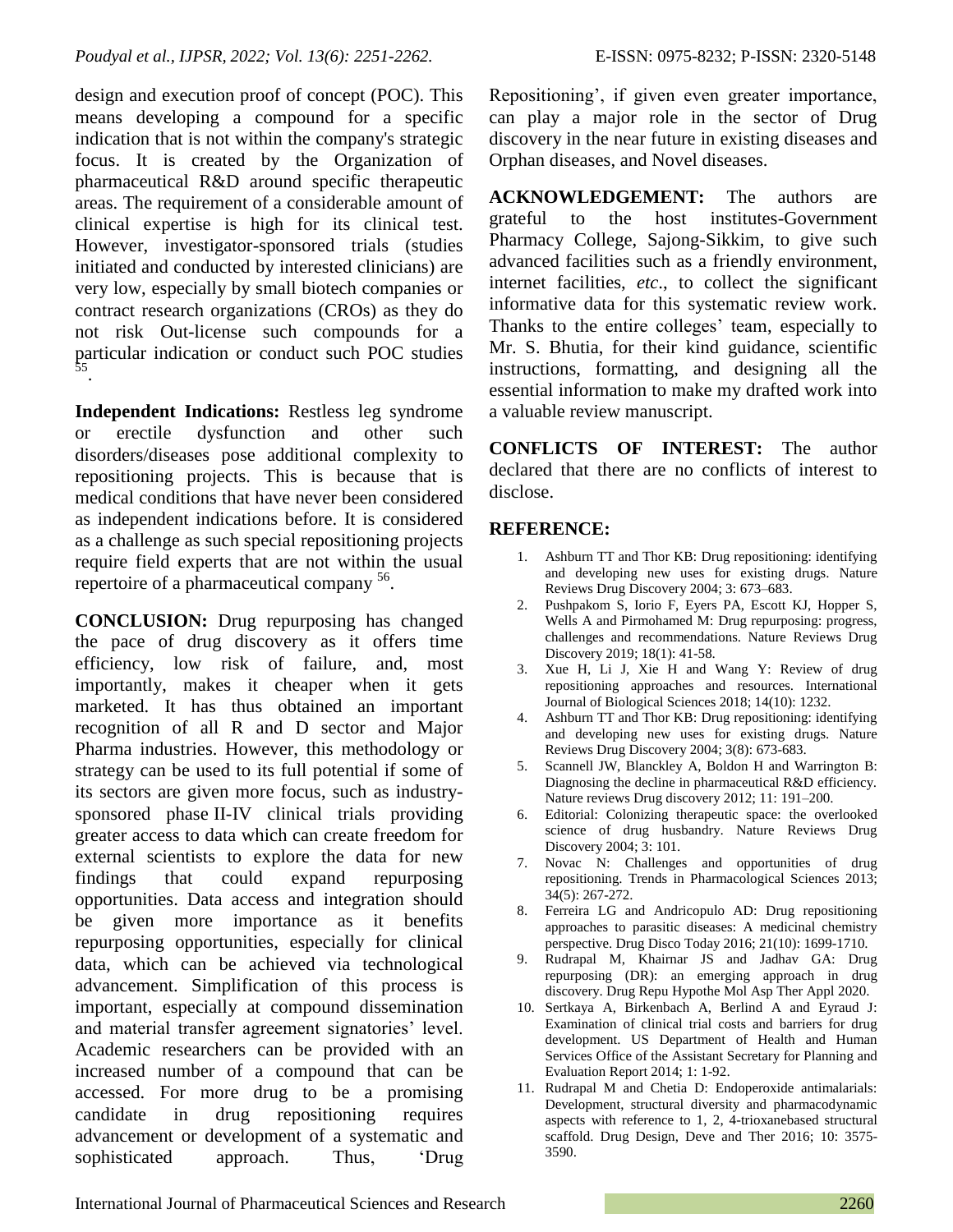design and execution proof of concept (POC). This means developing a compound for a specific indication that is not within the company's strategic focus. It is created by the Organization of pharmaceutical R&D around specific therapeutic areas. The requirement of a considerable amount of clinical expertise is high for its clinical test. However, investigator-sponsored trials (studies initiated and conducted by interested clinicians) are very low, especially by small biotech companies or contract research organizations (CROs) as they do not risk Out-license such compounds for a particular indication or conduct such POC studies 55 .

**Independent Indications:** Restless leg syndrome or erectile dysfunction and other such disorders/diseases pose additional complexity to repositioning projects. This is because that is medical conditions that have never been considered as independent indications before. It is considered as a challenge as such special repositioning projects require field experts that are not within the usual repertoire of a pharmaceutical company <sup>56</sup>.

**CONCLUSION:** Drug repurposing has changed the pace of drug discovery as it offers time efficiency, low risk of failure, and, most importantly, makes it cheaper when it gets marketed. It has thus obtained an important recognition of all R and D sector and Major Pharma industries. However, this methodology or strategy can be used to its full potential if some of its sectors are given more focus, such as industrysponsored phase II-IV clinical trials providing greater access to data which can create freedom for external scientists to explore the data for new findings that could expand repurposing opportunities. Data access and integration should be given more importance as it benefits repurposing opportunities, especially for clinical data, which can be achieved via technological advancement. Simplification of this process is important, especially at compound dissemination and material transfer agreement signatories' level. Academic researchers can be provided with an increased number of a compound that can be accessed. For more drug to be a promising candidate in drug repositioning requires advancement or development of a systematic and sophisticated approach. Thus, 'Drug

Repositioning', if given even greater importance, can play a major role in the sector of Drug discovery in the near future in existing diseases and Orphan diseases, and Novel diseases.

**ACKNOWLEDGEMENT:** The authors are grateful to the host institutes-Government Pharmacy College, Sajong-Sikkim, to give such advanced facilities such as a friendly environment, internet facilities, *etc*., to collect the significant informative data for this systematic review work. Thanks to the entire colleges' team, especially to Mr. S. Bhutia, for their kind guidance, scientific instructions, formatting, and designing all the essential information to make my drafted work into a valuable review manuscript.

**CONFLICTS OF INTEREST:** The author declared that there are no conflicts of interest to disclose.

## **REFERENCE:**

- 1. Ashburn TT and Thor KB: Drug repositioning: identifying and developing new uses for existing drugs. Nature Reviews Drug Discovery 2004; 3: 673–683.
- 2. Pushpakom S, Iorio F, Eyers PA, Escott KJ, Hopper S, Wells A and Pirmohamed M: Drug repurposing: progress, challenges and recommendations. Nature Reviews Drug Discovery 2019; 18(1): 41-58.
- 3. Xue H, Li J, Xie H and Wang Y: Review of drug repositioning approaches and resources. International Journal of Biological Sciences 2018; 14(10): 1232.
- 4. Ashburn TT and Thor KB: Drug repositioning: identifying and developing new uses for existing drugs. Nature Reviews Drug Discovery 2004; 3(8): 673-683.
- 5. Scannell JW, Blanckley A, Boldon H and Warrington B: Diagnosing the decline in pharmaceutical R&D efficiency. Nature reviews Drug discovery 2012; 11: 191–200.
- 6. Editorial: Colonizing therapeutic space: the overlooked science of drug husbandry. Nature Reviews Drug Discovery 2004; 3: 101.
- 7. Novac N: Challenges and opportunities of drug repositioning. Trends in Pharmacological Sciences 2013; 34(5): 267-272.
- 8. Ferreira LG and Andricopulo AD: Drug repositioning approaches to parasitic diseases: A medicinal chemistry perspective. Drug Disco Today 2016; 21(10): 1699-1710.
- 9. Rudrapal M, Khairnar JS and Jadhav GA: Drug repurposing (DR): an emerging approach in drug discovery. Drug Repu Hypothe Mol Asp Ther Appl 2020.
- 10. Sertkaya A, Birkenbach A, Berlind A and Eyraud J: Examination of clinical trial costs and barriers for drug development. US Department of Health and Human Services Office of the Assistant Secretary for Planning and Evaluation Report 2014; 1: 1-92.
- 11. Rudrapal M and Chetia D: Endoperoxide antimalarials: Development, structural diversity and pharmacodynamic aspects with reference to 1, 2, 4-trioxanebased structural scaffold. Drug Design, Deve and Ther 2016; 10: 3575- 3590.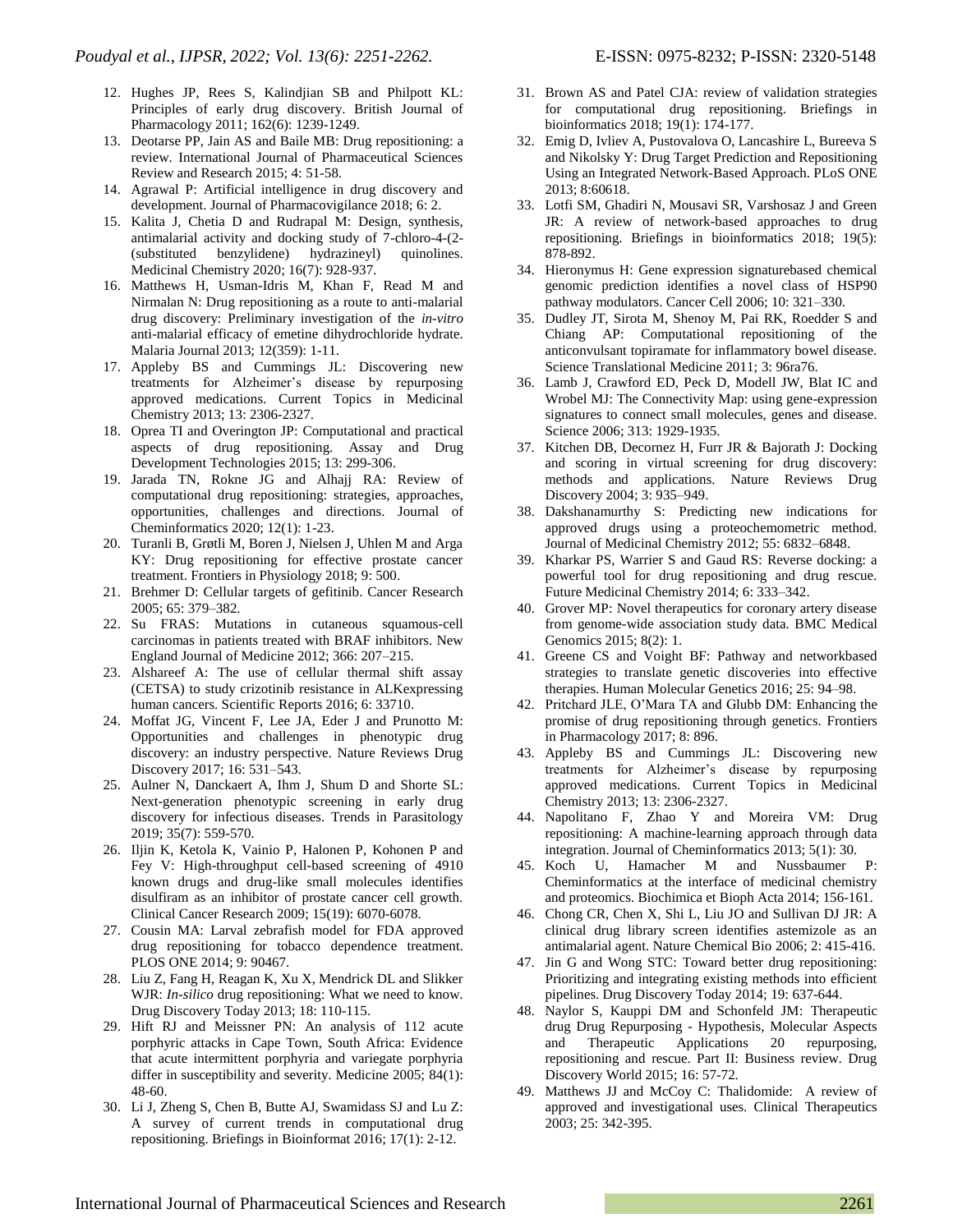- 12. Hughes JP, Rees S, Kalindjian SB and Philpott KL: Principles of early drug discovery. British Journal of Pharmacology 2011; 162(6): 1239-1249.
- 13. Deotarse PP, Jain AS and Baile MB: Drug repositioning: a review. International Journal of Pharmaceutical Sciences Review and Research 2015; 4: 51-58.
- 14. Agrawal P: Artificial intelligence in drug discovery and development. Journal of Pharmacovigilance 2018; 6: 2.
- 15. Kalita J, Chetia D and Rudrapal M: Design, synthesis, antimalarial activity and docking study of 7-chloro-4-(2- (substituted benzylidene) hydrazineyl) quinolines. Medicinal Chemistry 2020; 16(7): 928-937.
- 16. Matthews H, Usman-Idris M, Khan F, Read M and Nirmalan N: Drug repositioning as a route to anti-malarial drug discovery: Preliminary investigation of the *in-vitro* anti-malarial efficacy of emetine dihydrochloride hydrate. Malaria Journal 2013; 12(359): 1-11.
- 17. Appleby BS and Cummings JL: Discovering new treatments for Alzheimer's disease by repurposing approved medications. Current Topics in Medicinal Chemistry 2013; 13: 2306-2327.
- 18. Oprea TI and Overington JP: Computational and practical aspects of drug repositioning. Assay and Drug Development Technologies 2015; 13: 299-306.
- 19. Jarada TN, Rokne JG and Alhajj RA: Review of computational drug repositioning: strategies, approaches, opportunities, challenges and directions. Journal of Cheminformatics 2020; 12(1): 1-23.
- 20. Turanli B, Grøtli M, Boren J, Nielsen J, Uhlen M and Arga KY: Drug repositioning for effective prostate cancer treatment. Frontiers in Physiology 2018; 9: 500.
- 21. Brehmer D: Cellular targets of gefitinib. Cancer Research 2005; 65: 379–382.
- 22. Su FRAS: Mutations in cutaneous squamous-cell carcinomas in patients treated with BRAF inhibitors. New England Journal of Medicine 2012; 366: 207–215.
- 23. Alshareef A: The use of cellular thermal shift assay (CETSA) to study crizotinib resistance in ALKexpressing human cancers. Scientific Reports 2016; 6: 33710.
- 24. Moffat JG, Vincent F, Lee JA, Eder J and Prunotto M: Opportunities and challenges in phenotypic drug discovery: an industry perspective. Nature Reviews Drug Discovery 2017; 16: 531–543.
- 25. Aulner N, Danckaert A, Ihm J, Shum D and Shorte SL: Next-generation phenotypic screening in early drug discovery for infectious diseases. Trends in Parasitology 2019; 35(7): 559-570.
- 26. Iljin K, Ketola K, Vainio P, Halonen P, Kohonen P and Fey V: High-throughput cell-based screening of 4910 known drugs and drug-like small molecules identifies disulfiram as an inhibitor of prostate cancer cell growth. Clinical Cancer Research 2009; 15(19): 6070-6078.
- 27. Cousin MA: Larval zebrafish model for FDA approved drug repositioning for tobacco dependence treatment. PLOS ONE 2014; 9: 90467.
- 28. Liu Z, Fang H, Reagan K, Xu X, Mendrick DL and Slikker WJR: *In-silico* drug repositioning: What we need to know. Drug Discovery Today 2013; 18: 110-115.
- 29. Hift RJ and Meissner PN: An analysis of 112 acute porphyric attacks in Cape Town, South Africa: Evidence that acute intermittent porphyria and variegate porphyria differ in susceptibility and severity. Medicine 2005; 84(1): 48-60.
- 30. Li J, Zheng S, Chen B, Butte AJ, Swamidass SJ and Lu Z: A survey of current trends in computational drug repositioning. Briefings in Bioinformat 2016; 17(1): 2-12.
- 31. Brown AS and Patel CJA: review of validation strategies for computational drug repositioning. Briefings in bioinformatics 2018; 19(1): 174-177.
- 32. Emig D, Ivliev A, Pustovalova O, Lancashire L, Bureeva S and Nikolsky Y: Drug Target Prediction and Repositioning Using an Integrated Network-Based Approach. PLoS ONE 2013; 8:60618.
- 33. Lotfi SM, Ghadiri N, Mousavi SR, Varshosaz J and Green JR: A review of network-based approaches to drug repositioning. Briefings in bioinformatics 2018; 19(5): 878-892.
- 34. Hieronymus H: Gene expression signaturebased chemical genomic prediction identifies a novel class of HSP90 pathway modulators. Cancer Cell 2006; 10: 321–330.
- 35. Dudley JT, Sirota M, Shenoy M, Pai RK, Roedder S and Chiang AP: Computational repositioning of the anticonvulsant topiramate for inflammatory bowel disease. Science Translational Medicine 2011; 3: 96ra76.
- 36. Lamb J, Crawford ED, Peck D, Modell JW, Blat IC and Wrobel MJ: The Connectivity Map: using gene-expression signatures to connect small molecules, genes and disease. Science 2006; 313: 1929-1935.
- 37. Kitchen DB, Decornez H, Furr JR & Bajorath J: Docking and scoring in virtual screening for drug discovery: methods and applications. Nature Reviews Drug Discovery 2004; 3: 935–949.
- 38. Dakshanamurthy S: Predicting new indications for approved drugs using a proteochemometric method. Journal of Medicinal Chemistry 2012; 55: 6832–6848.
- 39. Kharkar PS, Warrier S and Gaud RS: Reverse docking: a powerful tool for drug repositioning and drug rescue. Future Medicinal Chemistry 2014; 6: 333–342.
- 40. Grover MP: Novel therapeutics for coronary artery disease from genome-wide association study data. BMC Medical Genomics 2015; 8(2): 1.
- 41. Greene CS and Voight BF: Pathway and networkbased strategies to translate genetic discoveries into effective therapies. Human Molecular Genetics 2016; 25: 94–98.
- 42. Pritchard JLE, O'Mara TA and Glubb DM: Enhancing the promise of drug repositioning through genetics. Frontiers in Pharmacology 2017; 8: 896.
- 43. Appleby BS and Cummings JL: Discovering new treatments for Alzheimer's disease by repurposing approved medications. Current Topics in Medicinal Chemistry 2013; 13: 2306-2327.
- 44. Napolitano F, Zhao Y and Moreira VM: Drug repositioning: A machine-learning approach through data integration. Journal of Cheminformatics 2013; 5(1): 30.
- 45. Koch U, Hamacher M and Nussbaumer P: Cheminformatics at the interface of medicinal chemistry and proteomics. Biochimica et Bioph Acta 2014; 156-161.
- 46. Chong CR, Chen X, Shi L, Liu JO and Sullivan DJ JR: A clinical drug library screen identifies astemizole as an antimalarial agent. Nature Chemical Bio 2006; 2: 415-416.
- 47. Jin G and Wong STC: Toward better drug repositioning: Prioritizing and integrating existing methods into efficient pipelines. Drug Discovery Today 2014; 19: 637-644.
- 48. Naylor S, Kauppi DM and Schonfeld JM: Therapeutic drug Drug Repurposing - Hypothesis, Molecular Aspects and Therapeutic Applications 20 repurposing, repositioning and rescue. Part II: Business review. Drug Discovery World 2015; 16: 57-72.
- 49. Matthews JJ and McCoy C: Thalidomide: A review of approved and investigational uses. Clinical Therapeutics 2003; 25: 342-395.